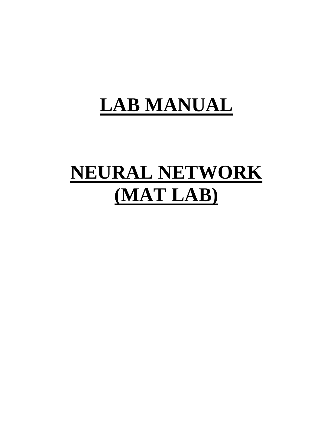# **LAB MANUAL**

# **NEURAL NETWORK (MAT LAB)**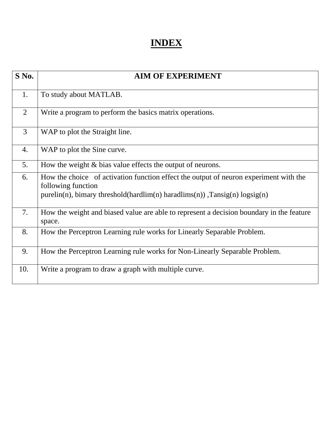## **INDEX**

| $S$ No.        | <b>AIM OF EXPERIMENT</b>                                                                                                                                                                       |
|----------------|------------------------------------------------------------------------------------------------------------------------------------------------------------------------------------------------|
| 1.             | To study about MATLAB.                                                                                                                                                                         |
| $\overline{2}$ | Write a program to perform the basics matrix operations.                                                                                                                                       |
| $\overline{3}$ | WAP to plot the Straight line.                                                                                                                                                                 |
| 4.             | WAP to plot the Sine curve.                                                                                                                                                                    |
| 5.             | How the weight $\&$ bias value effects the output of neurons.                                                                                                                                  |
| 6.             | How the choice of activation function effect the output of neuron experiment with the<br>following function<br>$purelin(n)$ , bimary threshold(hardlim(n) haradlims(n)), $Tansig(n) logsig(n)$ |
| 7.             | How the weight and biased value are able to represent a decision boundary in the feature<br>space.                                                                                             |
| 8.             | How the Perceptron Learning rule works for Linearly Separable Problem.                                                                                                                         |
| 9.             | How the Perceptron Learning rule works for Non-Linearly Separable Problem.                                                                                                                     |
| 10.            | Write a program to draw a graph with multiple curve.                                                                                                                                           |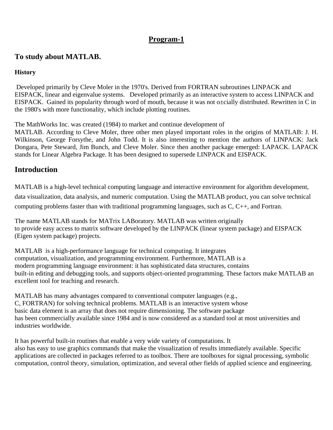#### **To study about MATLAB.**

#### **History**

 Developed primarily by Cleve Moler in the 1970's. Derived from FORTRAN subroutines LINPACK and EISPACK, linear and eigenvalue systems. Developed primarily as an interactive system to access LINPACK and EISPACK. Gained its popularity through word of mouth, because it was not o±cially distributed. Rewritten in C in the 1980's with more functionality, which include plotting routines.

The MathWorks Inc. was created (1984) to market and continue development of

MATLAB. According to Cleve Moler, three other men played important roles in the origins of MATLAB: J. H. Wilkinson, George Forsythe, and John Todd. It is also interesting to mention the authors of LINPACK: Jack Dongara, Pete Steward, Jim Bunch, and Cleve Moler. Since then another package emerged: LAPACK. LAPACK stands for Linear Algebra Package. It has been designed to supersede LINPACK and EISPACK.

#### **Introduction**

MATLAB is a high-level technical computing language and interactive environment for algorithm development, data visualization, data analysis, and numeric computation. Using the MATLAB product, you can solve technical computing problems faster than with traditional programming languages, such as C, C++, and Fortran.

The name MATLAB stands for MATrix LABoratory. MATLAB was written originally to provide easy access to matrix software developed by the LINPACK (linear system package) and EISPACK (Eigen system package) projects.

MATLAB is a high-performance language for technical computing. It integrates computation, visualization, and programming environment. Furthermore, MATLAB is a modern programming language environment: it has sophisticated data structures, contains built-in editing and debugging tools, and supports object-oriented programming. These factors make MATLAB an excellent tool for teaching and research.

MATLAB has many advantages compared to conventional computer languages (e.g., C, FORTRAN) for solving technical problems. MATLAB is an interactive system whose basic data element is an array that does not require dimensioning. The software package has been commercially available since 1984 and is now considered as a standard tool at most universities and industries worldwide.

It has powerful built-in routines that enable a very wide variety of computations. It also has easy to use graphics commands that make the visualization of results immediately available. Specific applications are collected in packages referred to as toolbox. There are toolboxes for signal processing, symbolic computation, control theory, simulation, optimization, and several other fields of applied science and engineering.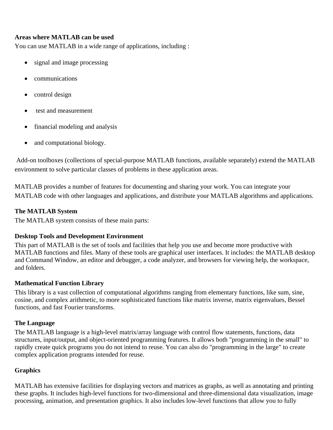#### **Areas where MATLAB can be used**

You can use MATLAB in a wide range of applications, including :

- signal and image processing
- communications
- control design
- test and measurement
- financial modeling and analysis
- and computational biology.

 Add-on toolboxes (collections of special-purpose MATLAB functions, available separately) extend the MATLAB environment to solve particular classes of problems in these application areas.

MATLAB provides a number of features for documenting and sharing your work. You can integrate your MATLAB code with other languages and applications, and distribute your MATLAB algorithms and applications.

#### **The MATLAB System**

The MATLAB system consists of these main parts:

#### **Desktop Tools and Development Environment**

This part of MATLAB is the set of tools and facilities that help you use and become more productive with MATLAB functions and files. Many of these tools are graphical user interfaces. It includes: the MATLAB desktop and Command Window, an editor and debugger, a code analyzer, and browsers for viewing help, the workspace, and folders.

#### **Mathematical Function Library**

This library is a vast collection of computational algorithms ranging from elementary functions, like sum, sine, cosine, and complex arithmetic, to more sophisticated functions like matrix inverse, matrix eigenvalues, Bessel functions, and fast Fourier transforms.

#### **The Language**

The MATLAB language is a high-level matrix/array language with control flow statements, functions, data structures, input/output, and object-oriented programming features. It allows both "programming in the small" to rapidly create quick programs you do not intend to reuse. You can also do "programming in the large" to create complex application programs intended for reuse.

#### **Graphics**

MATLAB has extensive facilities for displaying vectors and matrices as graphs, as well as annotating and printing these graphs. It includes high-level functions for two-dimensional and three-dimensional data visualization, image processing, animation, and presentation graphics. It also includes low-level functions that allow you to fully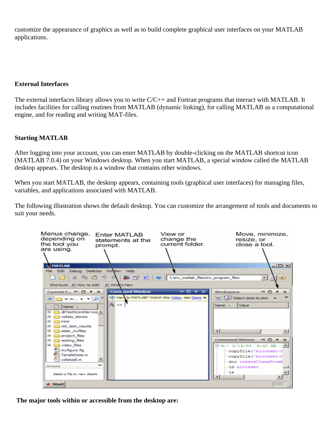customize the appearance of graphics as well as to build complete graphical user interfaces on your MATLAB applications.

#### **External Interfaces**

The external interfaces library allows you to write C/C++ and Fortran programs that interact with MATLAB. It includes facilities for calling routines from MATLAB (dynamic linking), for calling MATLAB as a computational engine, and for reading and writing MAT-files.

#### **Starting MATLAB**

After logging into your account, you can enter MATLAB by double-clicking on the MATLAB shortcut icon (MATLAB 7.0.4) on your Windows desktop. When you start MATLAB, a special window called the MATLAB desktop appears. The desktop is a window that contains other windows.

When you start MATLAB, the desktop appears, containing tools (graphical user interfaces) for managing files, variables, and applications associated with MATLAB.

The following illustration shows the default desktop. You can customize the arrangement of tools and documents to suit your needs.



 **The major tools within or accessible from the desktop are:**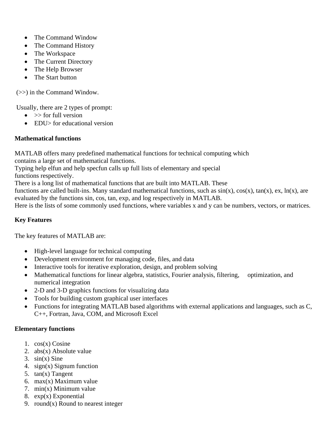- The Command Window
- The Command History
- The Workspace
- The Current Directory
- The Help Browser
- The Start button

(>>) in the Command Window.

Usually, there are 2 types of prompt:

- $\bullet \quad \Rightarrow$  for full version
- EDU> for educational version

#### **Mathematical functions**

MATLAB offers many predefined mathematical functions for technical computing which contains a large set of mathematical functions.

Typing help elfun and help specfun calls up full lists of elementary and special

functions respectively.

There is a long list of mathematical functions that are built into MATLAB. These

functions are called built-ins. Many standard mathematical functions, such as  $sin(x)$ ,  $cos(x)$ ,  $tan(x)$ ,  $ex$ ,  $ln(x)$ , are evaluated by the functions sin, cos, tan, exp, and log respectively in MATLAB.

Here is the lists of some commonly used functions, where variables x and y can be numbers, vectors, or matrices.

#### **Key Features**

The key features of MATLAB are:

- High-level language for technical computing
- Development environment for managing code, files, and data
- Interactive tools for iterative exploration, design, and problem solving
- Mathematical functions for linear algebra, statistics, Fourier analysis, filtering, optimization, and numerical integration
- 2-D and 3-D graphics functions for visualizing data
- Tools for building custom graphical user interfaces
- Functions for integrating MATLAB based algorithms with external applications and languages, such as C, C++, Fortran, Java, COM, and Microsoft Excel

#### **Elementary functions**

- 1. cos(x) Cosine
- 2. abs(x) Absolute value
- 3.  $sin(x)$  Sine
- 4. sign(x) Signum function
- 5. tan(x) Tangent
- 6. max(x) Maximum value
- 7. min(x) Minimum value
- 8.  $exp(x)$  Exponential
- 9. round $(x)$  Round to nearest integer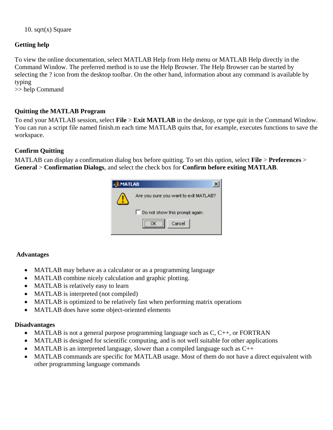10. sqrt $(x)$  Square

#### **Getting help**

To view the online documentation, select MATLAB Help from Help menu or MATLAB Help directly in the Command Window. The preferred method is to use the Help Browser. The Help Browser can be started by selecting the ? icon from the desktop toolbar. On the other hand, information about any command is available by typing

>> help Command

#### **Quitting the MATLAB Program**

To end your MATLAB session, select **File** > **Exit MATLAB** in the desktop, or type quit in the Command Window. You can run a script file named finish.m each time MATLAB quits that, for example, executes functions to save the workspace.

#### **Confirm Quitting**

MATLAB can display a confirmation dialog box before quitting. To set this option, select **File** > **Preferences** > **General** > **Confirmation Dialogs**, and select the check box for **Confirm before exiting MATLAB**.

| <b>MATLAB</b> |                                       |  |  |  |
|---------------|---------------------------------------|--|--|--|
|               | Are you sure you want to exit MATLAB? |  |  |  |
|               | Do not show this prompt again.        |  |  |  |
|               | Cancel                                |  |  |  |

#### **Advantages**

- MATLAB may behave as a calculator or as a programming language
- MATLAB combine nicely calculation and graphic plotting.
- MATLAB is relatively easy to learn
- MATLAB is interpreted (not compiled)
- MATLAB is optimized to be relatively fast when performing matrix operations
- MATLAB does have some object-oriented elements

#### **Disadvantages**

- MATLAB is not a general purpose programming language such as  $C, C++, or FORTRAN$
- MATLAB is designed for scientific computing, and is not well suitable for other applications
- MATLAB is an interpreted language, slower than a compiled language such as  $C_{++}$
- MATLAB commands are specific for MATLAB usage. Most of them do not have a direct equivalent with other programming language commands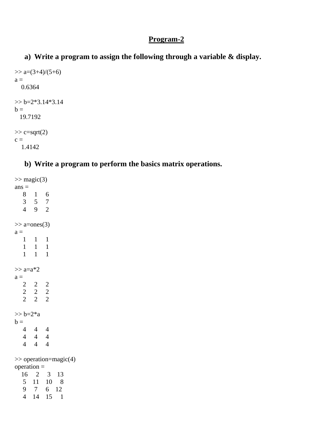#### **a) Write a program to assign the following through a variable & display.**

```
\gg a=(3+4)/(5+6)
a = 0.6364 
>> b=2*3.14*3.14b = 19.7192 
\gg c=sqrt(2)
c =
```
#### 1.4142

#### **b) Write a program to perform the basics matrix operations.**

```
\gg magic(3)
ans = 8 1 6 
   3 5 7 
   4 9 2 
\gg a=ones(3)
a = 1 1 1 
    1 1 1 
    1 1 1 
>> a=a*2a = 2 2 2 
  \begin{array}{ccc} 2 & 2 & 2 \\ 2 & 2 & 2 \end{array} 2 2 2 
>> b = 2^*ab = 4 4 4 
   4 4 4 
   4 4 4 
>> operation=magic(4) 
operation = 
   16 2 3 13 
   5 11 10 8 
   9 7 6 12 
   4 14 15 1
```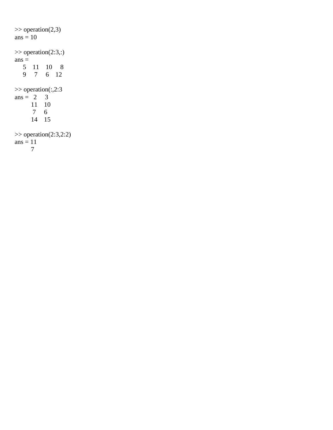$\gg$  operation(2,3) ans  $= 10$  $\gg$  operation(2:3,:)  $ans =$  5 11 10 8 9 7 6 12 >> operation(:,2:3 ans =  $2 \quad 3$  11 10 7 6 14 15  $\gg$  operation(2:3,2:2) ans  $= 11$ 7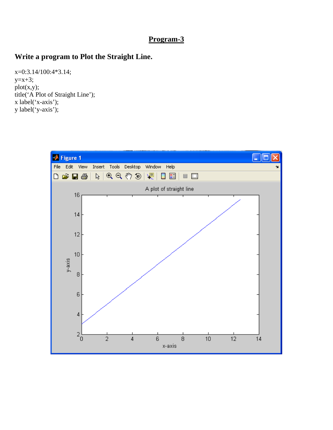#### **Write a program to Plot the Straight Line.**

x=0:3.14/100:4\*3.14;  $y=x+3;$ plot(x,y); title('A Plot of Straight Line'); x label('x-axis'); y label('y-axis');

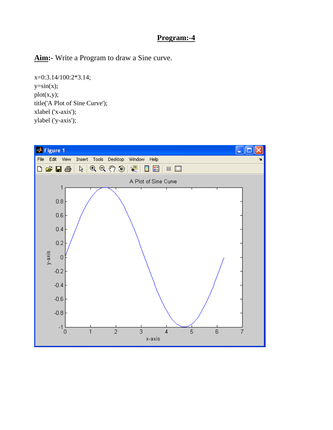**Aim:-** Write a Program to draw a Sine curve.

x=0:3.14/100:2\*3.14;  $y=sin(x);$ plot(x,y); title('A Plot of Sine Curve'); xlabel ('x-axis'); ylabel ('y-axis');

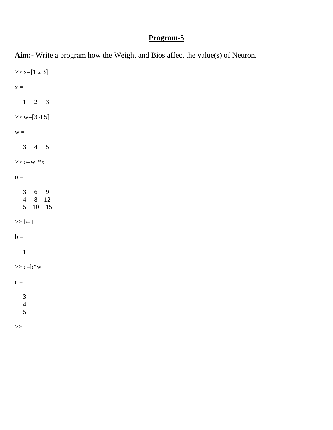**Aim:-** Write a program how the Weight and Bios affect the value(s) of Neuron.  $>> x=[1 2 3]$  $x =$  1 2 3  $>>$  w=[3 4 5]  $W =$  3 4 5  $>>$ o=w' $\mathrm{^{\ast}x}$  $o =$  $\begin{array}{ccc} 3 & 6 & 9 \\ 4 & 8 & 12 \end{array}$  4 8 12 5 10 15  $>> b=1$  $b =$  1  $>>$ e=b $*w'$  $e =$  3 4 5  $>\gt$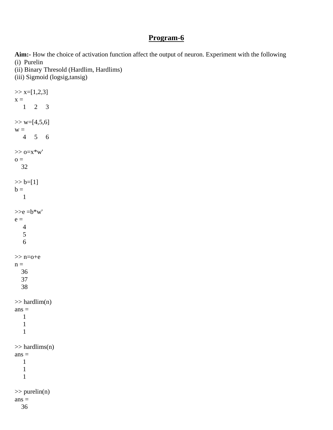**Aim:-** How the choice of activation function affect the output of neuron. Experiment with the following (i) Purelin

(ii) Binary Thresold (Hardlim, Hardlims)

(iii) Sigmoid (logsig,tansig)

 $>> x=[1,2,3]$  $x =$  1 2 3  $>>$  w=[4,5,6]  $W =$  4 5 6  $>>$   $o=x*w'$  $\sigma =$  32  $>> b=[1]$  $b =$  1  $>>e = b*w'$  $e =$  4 5 6 >> n=o+e  $n =$  36 37 38  $\gg$  hardlim(n)  $ans =$  1 1 1  $\gg$  hardlims(n)  $ans =$  1 1 1  $\gg$  purelin(n)  $ans =$ 36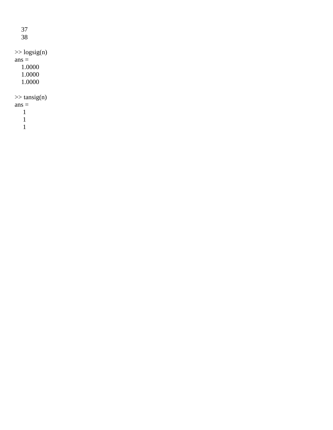37 38  $\gg$  logsig(n)  $ans =$  1.0000 1.0000 1.0000  $\gg$  tansig(n)  $ans =$  1 1

1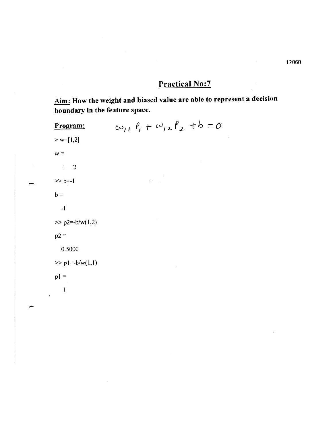## **Practical No:7**

Aim: How the weight and biased value are able to represent a decision boundary in the feature space.

 $\omega_{11}$   $\ell_1$  +  $\omega_{12}$   $\ell_2$  + b = 0 Program:  $> w=[1,2]$  $w =$  $\overline{2}$  $\mathbf{I}$  $>> b=-1$  $b =$  $-1$  $>> p2= -b/w(1,2)$  $p2 =$ 0.5000  $>>$  pl=-b/w(1,1)  $p1 =$ 1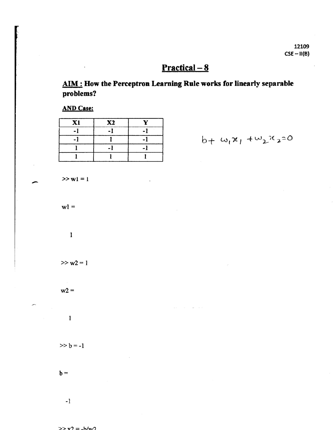## $Practical-8$

AIM: How the Perceptron Learning Rule works for linearly separable problems?

**AND Case:** 

| X1 | <b>X2</b> | v |
|----|-----------|---|
|    |           |   |
|    |           |   |
|    |           |   |
|    |           |   |

 $b_+ \omega_1 x_1 + \omega_2 x_2 = 0$ 

 $>> w1 = 1$ 

 $w1 =$ 

 $\mathbf{1}$ 

 $>> w2 = 1$ 

 $w2 =$ 

 $\mathbf{1}$ 

 $>> b = -1$ 

$$
b =
$$

 $-1$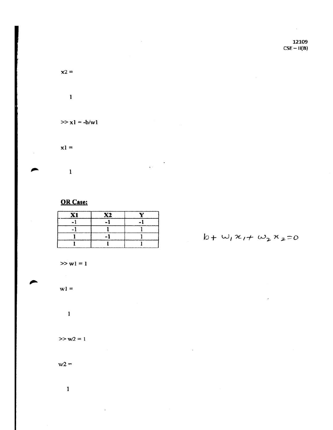12109  $CSE - H(B)$ 

 $\sim$ 

 $x2 =$ 

 $\mathbf 1$ 

 $\sim$ 

 $\sim 10^{-10}$ 

 $\cdot$ 

 $>> x1 = -b/w1$ 

 $x1 =$ 

 $\mathbf{1}$ 

#### **OR Case:**

| X. | X2 |  |
|----|----|--|
|    |    |  |
|    |    |  |
|    |    |  |
|    |    |  |

 $\epsilon$ 

 $b + w_1 x_1 + w_2 x_2 = 0$ 

 $>> w1 = 1$ 

 $w1 =$ 

 $\mathbf{1}$ 

 $>> w2 = 1$ 

 $w2 =$ 

 $\mathbf 1$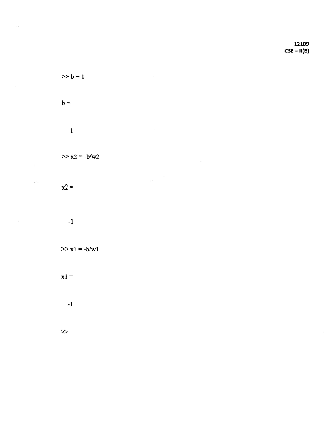12109  $CSE - II(B)$ 

$$
>>b=1
$$

 $\lambda$  .

$$
\mathsf{b} =
$$

 $\sim$ 

 $\epsilon^{-1}$ 

$$
\mathbf{1}_{\mathcal{A}_{\mathcal{A}}}
$$

$$
\gg x^2 = -b/w^2
$$

$$
x2 =
$$

 $\epsilon$ 

$$
-1
$$

$$
\gg x1 = -b/w1
$$

$$
x1 =
$$

$$
-1
$$

$$
\rightarrow
$$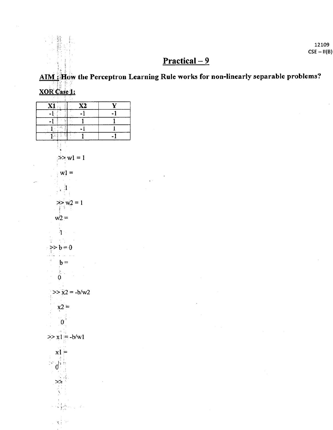12109  $CSE - II(B)$ 

## $Practical-9$

AIM : How the Perceptron Learning Rule works for non-linearly separable problems? XOR Case 1:

### $\overline{\mathbf{X1}}$  $\overline{\text{X2}}$  $\overline{\mathbf{Y}}$  $\overline{1}$  $-1$  $-1$  $\overline{1}$  $-1$ .  $\mathbf{1}$  $\left\lfloor \frac{1}{2} \right\rfloor$  $\mathbf{1}^{\circ}$  $-1$  $\mathbf{1}$  $\overline{-1}$  $\mathbf{T}_i$  in a  $\overline{1}$  $\gg w1 = 1$  $w1 =$  $\begin{bmatrix} 1 \\ 1 \end{bmatrix}$  $>> w2 = 1$  $w2 =$  $\mathbf{h}$  $>> b = 0$  $$  $\frac{1}{0}$  $>> x2 = -b/w2$  $x2 =$  $\mathbf{0}^{\dagger}$  $\gg$  x1 = -b/w1  $x1 =$  $\sim$   $\frac{1}{2}$ ≫  $\sim \sqrt{\frac{1}{2}} \frac{1}{\sqrt{6}} \lambda$  $\sigma_{\rm{max}}=2$  $\sim$   $\mathbf{v}^{\frac{1}{2}}_{\mathrm{c}}$  be

雪雕 V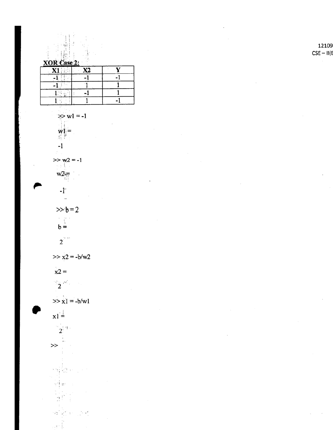12109  $CSE - II(E)$ 

XOR Case 2:  $\mathbf{X1}$  $\overline{\textbf{X2}}$  $\overline{-1}$  $-1$ 

 $\mathbf{L}$ 

 $\overline{\mathbf{Y}}$ 

 $\overline{1}$ 

 $>> w1 = -1$ ी।

 $>> w2 = -1$ 化医青油

 $w1 =$ 

 $-1$ 

 $W2 =$ 

- $\mathbf{f}$ 

 $>>b=2$  $\begin{array}{c} \mathbf{b} \\ \mathbf{b} \\ \mathbf{b} \end{array}$ 

 $2^{\sum n}$ 

 $>> x2 = -b/w2$ 

 $x2 =$ 

 $\sum_{i=1}^{\infty} \frac{1}{i} \frac{\partial \mathcal{L}_{\mathcal{A}}}{\partial \mathcal{L}_{\mathcal{A}}} \qquad \forall \mathcal{L}_{\mathcal{A}}$ 

 $>> x1 = -b/w1$ 

 $x1 =$  $2^{14}$ 

 $\begin{array}{c} \mathbf{y} \rightarrow \mathbf{y} \\ \mathbf{y} \rightarrow \mathbf{y} \end{array}$ 

박물 이 아이  $\frac{1}{3}$  is the set of  $\frac{1}{3}$ 

 $\frac{1}{n}\frac{1}{n}e^{-\frac{1}{n}}$ 

 $\mathcal{P}_{\mathcal{P}}\left(\frac{1}{\Delta}\mathbf{u}\right)=\frac{1}{2}\mathbf{u}\mathbf{u}_{\mathcal{P}}\mathbf{u}_{\mathcal{P}}$ ĵ.